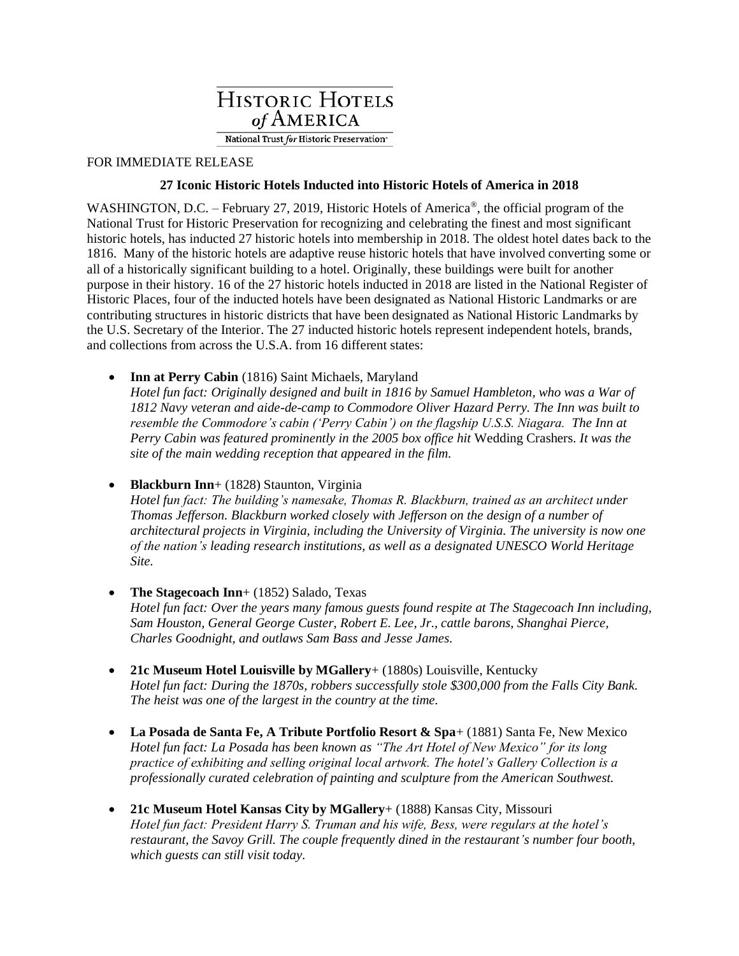

## FOR IMMEDIATE RELEASE

## **27 Iconic Historic Hotels Inducted into Historic Hotels of America in 2018**

WASHINGTON, D.C. – February 27, 2019, Historic Hotels of America®, the official program of the National Trust for Historic Preservation for recognizing and celebrating the finest and most significant historic hotels, has inducted 27 historic hotels into membership in 2018. The oldest hotel dates back to the 1816. Many of the historic hotels are adaptive reuse historic hotels that have involved converting some or all of a historically significant building to a hotel. Originally, these buildings were built for another purpose in their history. 16 of the 27 historic hotels inducted in 2018 are listed in the National Register of Historic Places, four of the inducted hotels have been designated as National Historic Landmarks or are contributing structures in historic districts that have been designated as National Historic Landmarks by the U.S. Secretary of the Interior. The 27 inducted historic hotels represent independent hotels, brands, and collections from across the U.S.A. from 16 different states:

**Inn at Perry Cabin** (1816) Saint Michaels, Maryland

*Hotel fun fact: Originally designed and built in 1816 by Samuel Hambleton, who was a War of 1812 Navy veteran and aide-de-camp to Commodore Oliver Hazard Perry. The Inn was built to resemble the Commodore's cabin ('Perry Cabin') on the flagship U.S.S. Niagara. The Inn at Perry Cabin was featured prominently in the 2005 box office hit* Wedding Crashers. *It was the site of the main wedding reception that appeared in the film.*

• **Blackburn Inn**+ (1828) Staunton, Virginia

*Hotel fun fact: The building's namesake, Thomas R. Blackburn, trained as an architect under Thomas Jefferson. Blackburn worked closely with Jefferson on the design of a number of architectural projects in Virginia, including the University of Virginia. The university is now one of the nation's leading research institutions, as well as a designated UNESCO World Heritage Site.*

- **The Stagecoach Inn**+ (1852) Salado, Texas *Hotel fun fact: Over the years many famous guests found respite at The Stagecoach Inn including, Sam Houston, General George Custer, Robert E. Lee, Jr., cattle barons, Shanghai Pierce, Charles Goodnight, and outlaws Sam Bass and Jesse James.*
- **21c Museum Hotel Louisville by MGallery**+ (1880s) Louisville, Kentucky *Hotel fun fact: During the 1870s, robbers successfully stole \$300,000 from the Falls City Bank. The heist was one of the largest in the country at the time.*
- **La Posada de Santa Fe, A Tribute Portfolio Resort & Spa**+ (1881) Santa Fe, New Mexico *Hotel fun fact: La Posada has been known as "The Art Hotel of New Mexico" for its long practice of exhibiting and selling original local artwork. The hotel's Gallery Collection is a professionally curated celebration of painting and sculpture from the American Southwest.*
- **21c Museum Hotel Kansas City by MGallery**+ (1888) Kansas City, Missouri *Hotel fun fact: President Harry S. Truman and his wife, Bess, were regulars at the hotel's restaurant, the Savoy Grill. The couple frequently dined in the restaurant's number four booth, which guests can still visit today.*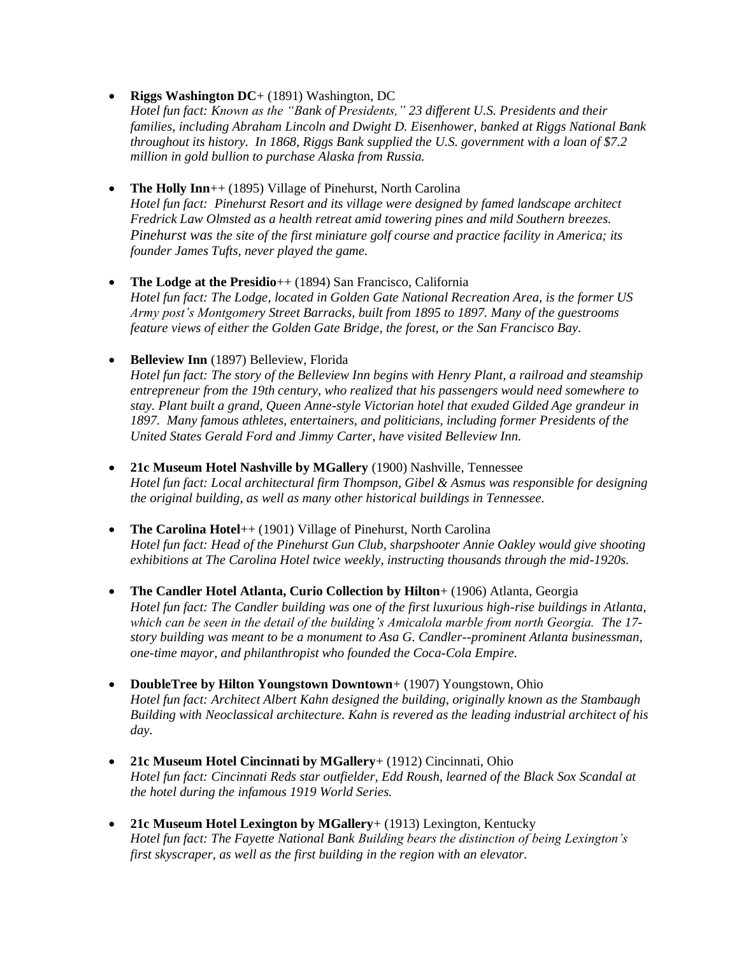• **Riggs Washington DC**+ (1891) Washington, DC

*Hotel fun fact: Known as the "Bank of Presidents," 23 different U.S. Presidents and their families, including Abraham Lincoln and Dwight D. Eisenhower, banked at Riggs National Bank throughout its history. In 1868, Riggs Bank supplied the U.S. government with a loan of \$7.2 million in gold bullion to purchase Alaska from Russia.*

• **The Holly Inn**++ (1895) Village of Pinehurst, North Carolina *Hotel fun fact: Pinehurst Resort and its village were designed by famed landscape architect Fredrick Law Olmsted as a health retreat amid towering pines and mild Southern breezes. Pinehurst was the site of the first miniature golf course and practice facility in America; its founder James Tufts, never played the game.*

• **The Lodge at the Presidio**++ (1894) San Francisco, California *Hotel fun fact: The Lodge, located in Golden Gate National Recreation Area, is the former US Army post's Montgomery Street Barracks, built from 1895 to 1897. Many of the guestrooms feature views of either the Golden Gate Bridge, the forest, or the San Francisco Bay.*

• **Belleview Inn** (1897) Belleview, Florida *Hotel fun fact: The story of the Belleview Inn begins with Henry Plant, a railroad and steamship entrepreneur from the 19th century, who realized that his passengers would need somewhere to stay. Plant built a grand, Queen Anne-style Victorian hotel that exuded Gilded Age grandeur in 1897. Many famous athletes, entertainers, and politicians, including former Presidents of the United States Gerald Ford and Jimmy Carter, have visited Belleview Inn.* 

- **21c Museum Hotel Nashville by MGallery** (1900) Nashville, Tennessee *Hotel fun fact: Local architectural firm Thompson, Gibel & Asmus was responsible for designing the original building, as well as many other historical buildings in Tennessee.*
- **The Carolina Hotel**++ (1901) Village of Pinehurst, North Carolina *Hotel fun fact: Head of the Pinehurst Gun Club, sharpshooter Annie Oakley would give shooting exhibitions at The Carolina Hotel twice weekly, instructing thousands through the mid-1920s.*
- **The Candler Hotel Atlanta, Curio Collection by Hilton**+ (1906) Atlanta, Georgia *Hotel fun fact: The Candler building was one of the first luxurious high-rise buildings in Atlanta, which can be seen in the detail of the building's Amicalola marble from north Georgia. The 17 story building was meant to be a monument to Asa G. Candler--prominent Atlanta businessman, one-time mayor, and philanthropist who founded the Coca-Cola Empire.*
- **DoubleTree by Hilton Youngstown Downtown**+ (1907) Youngstown, Ohio *Hotel fun fact: Architect Albert Kahn designed the building, originally known as the Stambaugh Building with Neoclassical architecture. Kahn is revered as the leading industrial architect of his day.*
- **21c Museum Hotel Cincinnati by MGallery**+ (1912) Cincinnati, Ohio *Hotel fun fact: Cincinnati Reds star outfielder, Edd Roush, learned of the Black Sox Scandal at the hotel during the infamous 1919 World Series.*
- **21c Museum Hotel Lexington by MGallery**+ (1913) Lexington, Kentucky *Hotel fun fact: The Fayette National Bank Building bears the distinction of being Lexington's first skyscraper, as well as the first building in the region with an elevator.*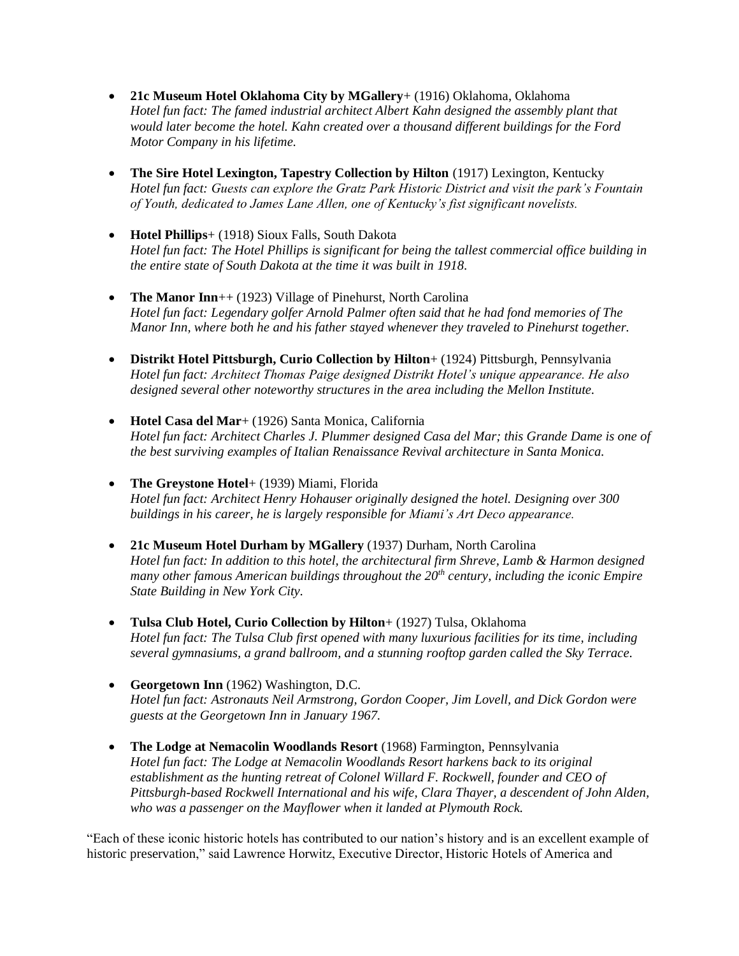- **21c Museum Hotel Oklahoma City by MGallery**+ (1916) Oklahoma, Oklahoma *Hotel fun fact: The famed industrial architect Albert Kahn designed the assembly plant that would later become the hotel. Kahn created over a thousand different buildings for the Ford Motor Company in his lifetime.*
- **The Sire Hotel Lexington, Tapestry Collection by Hilton** (1917) Lexington, Kentucky *Hotel fun fact: Guests can explore the Gratz Park Historic District and visit the park's Fountain of Youth, dedicated to James Lane Allen, one of Kentucky's fist significant novelists.*
- **Hotel Phillips**+ (1918) Sioux Falls, South Dakota *Hotel fun fact: The Hotel Phillips is significant for being the tallest commercial office building in the entire state of South Dakota at the time it was built in 1918.*
- **The Manor Inn**++ (1923) Village of Pinehurst, North Carolina *Hotel fun fact: Legendary golfer Arnold Palmer often said that he had fond memories of The Manor Inn, where both he and his father stayed whenever they traveled to Pinehurst together.*
- **Distrikt Hotel Pittsburgh, Curio Collection by Hilton**+ (1924) Pittsburgh, Pennsylvania *Hotel fun fact: Architect Thomas Paige designed Distrikt Hotel's unique appearance. He also designed several other noteworthy structures in the area including the Mellon Institute.*
- **Hotel [Casa del Mar](https://www.historichotels.org/hotels-resorts/hotel-casa-del-mar/)**+ (1926) Santa Monica, California *Hotel fun fact: Architect Charles J. Plummer designed Casa del Mar; this Grande Dame is one of the best surviving examples of Italian Renaissance Revival architecture in Santa Monica.*
- **The Greystone Hotel**+ (1939) Miami, Florida *Hotel fun fact: Architect Henry Hohauser originally designed the hotel. Designing over 300 buildings in his career, he is largely responsible for Miami's Art Deco appearance.*
- **21c Museum Hotel Durham by MGallery** (1937) Durham, North Carolina *Hotel fun fact: In addition to this hotel, the architectural firm Shreve, Lamb & Harmon designed many other famous American buildings throughout the 20th century, including the iconic Empire State Building in New York City.*
- **Tulsa Club Hotel, Curio Collection by Hilton**+ (1927) Tulsa, Oklahoma *Hotel fun fact: The Tulsa Club first opened with many luxurious facilities for its time, including several gymnasiums, a grand ballroom, and a stunning rooftop garden called the Sky Terrace.*
- **Georgetown Inn** (1962) Washington, D.C. *Hotel fun fact: Astronauts Neil Armstrong, Gordon Cooper, Jim Lovell, and Dick Gordon were guests at the Georgetown Inn in January 1967.*
- **The Lodge at Nemacolin Woodlands Resort** (1968) Farmington, Pennsylvania *Hotel fun fact: The Lodge at Nemacolin Woodlands Resort harkens back to its original establishment as the hunting retreat of Colonel Willard F. Rockwell, founder and CEO of Pittsburgh-based Rockwell International and his wife, Clara Thayer, a descendent of John Alden, who was a passenger on the Mayflower when it landed at Plymouth Rock.*

"Each of these iconic historic hotels has contributed to our nation's history and is an excellent example of historic preservation," said Lawrence Horwitz, Executive Director, Historic Hotels of America and